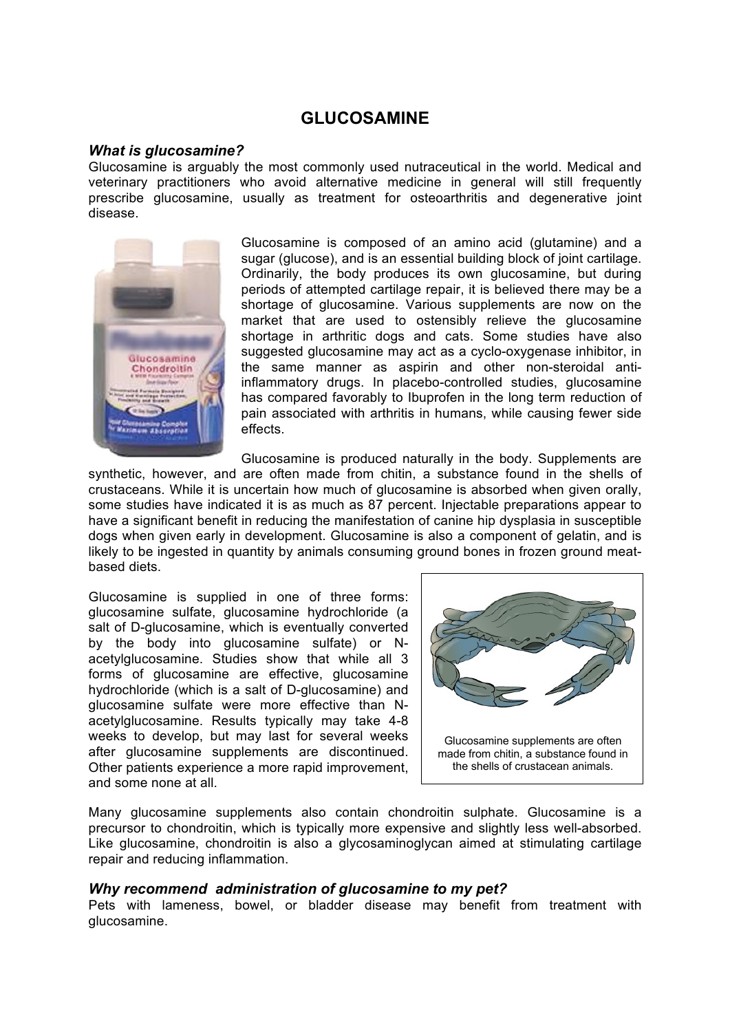# **GLUCOSAMINE**

#### *What is glucosamine?*

Glucosamine is arguably the most commonly used nutraceutical in the world. Medical and veterinary practitioners who avoid alternative medicine in general will still frequently prescribe glucosamine, usually as treatment for osteoarthritis and degenerative joint disease.



Glucosamine is composed of an amino acid (glutamine) and a sugar (glucose), and is an essential building block of joint cartilage. Ordinarily, the body produces its own glucosamine, but during periods of attempted cartilage repair, it is believed there may be a shortage of glucosamine. Various supplements are now on the market that are used to ostensibly relieve the glucosamine shortage in arthritic dogs and cats. Some studies have also suggested glucosamine may act as a cyclo-oxygenase inhibitor, in the same manner as aspirin and other non-steroidal antiinflammatory drugs. In placebo-controlled studies, glucosamine has compared favorably to Ibuprofen in the long term reduction of pain associated with arthritis in humans, while causing fewer side effects.

Glucosamine is produced naturally in the body. Supplements are

synthetic, however, and are often made from chitin, a substance found in the shells of crustaceans. While it is uncertain how much of glucosamine is absorbed when given orally, some studies have indicated it is as much as 87 percent. Injectable preparations appear to have a significant benefit in reducing the manifestation of canine hip dysplasia in susceptible dogs when given early in development. Glucosamine is also a component of gelatin, and is likely to be ingested in quantity by animals consuming ground bones in frozen ground meatbased diets.

Glucosamine is supplied in one of three forms: glucosamine sulfate, glucosamine hydrochloride (a salt of D-glucosamine, which is eventually converted by the body into glucosamine sulfate) or Nacetylglucosamine. Studies show that while all 3 forms of glucosamine are effective, glucosamine hydrochloride (which is a salt of D-glucosamine) and glucosamine sulfate were more effective than Nacetylglucosamine. Results typically may take 4-8 weeks to develop, but may last for several weeks after glucosamine supplements are discontinued. Other patients experience a more rapid improvement, and some none at all.



Many glucosamine supplements also contain chondroitin sulphate. Glucosamine is a precursor to chondroitin, which is typically more expensive and slightly less well-absorbed. Like glucosamine, chondroitin is also a glycosaminoglycan aimed at stimulating cartilage repair and reducing inflammation.

### *Why recommend administration of glucosamine to my pet?*

Pets with lameness, bowel, or bladder disease may benefit from treatment with glucosamine.